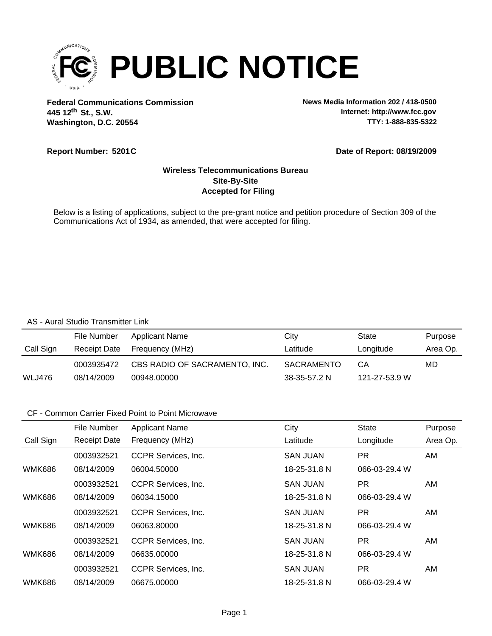

**Federal Communications Commission News Media Information 202 / 418-0500 Washington, D.C. 20554 th 445 12 St., S.W.**

**Internet: http://www.fcc.gov TTY: 1-888-835-5322**

### **Report Number: 5201C**

#### **Date of Report: 08/19/2009**

### **Accepted for Filing Site-By-Site Wireless Telecommunications Bureau**

Below is a listing of applications, subject to the pre-grant notice and petition procedure of Section 309 of the Communications Act of 1934, as amended, that were accepted for filing.

#### AS - Aural Studio Transmitter Link

|               | File Number  | Applicant Name                | Citv         | State         | Purpose  |
|---------------|--------------|-------------------------------|--------------|---------------|----------|
| Call Sign     | Receipt Date | Frequency (MHz)               | Latitude     | Longitude     | Area Op. |
|               | 0003935472   | CBS RADIO OF SACRAMENTO, INC. | SACRAMENTO   | CA            | MD       |
| <b>WLJ476</b> | 08/14/2009   | 00948.00000                   | 38-35-57.2 N | 121-27-53.9 W |          |

### CF - Common Carrier Fixed Point to Point Microwave

|               | File Number         | <b>Applicant Name</b>      | City            | <b>State</b>  | Purpose  |
|---------------|---------------------|----------------------------|-----------------|---------------|----------|
| Call Sign     | <b>Receipt Date</b> | Frequency (MHz)            | Latitude        | Longitude     | Area Op. |
|               | 0003932521          | CCPR Services, Inc.        | <b>SAN JUAN</b> | PR.           | AM       |
| <b>WMK686</b> | 08/14/2009          | 06004.50000                | 18-25-31.8 N    | 066-03-29.4 W |          |
|               | 0003932521          | <b>CCPR Services, Inc.</b> | <b>SAN JUAN</b> | PR.           | AM.      |
| <b>WMK686</b> | 08/14/2009          | 06034.15000                | 18-25-31.8 N    | 066-03-29.4 W |          |
|               | 0003932521          | CCPR Services, Inc.        | <b>SAN JUAN</b> | PR.           | AM.      |
| <b>WMK686</b> | 08/14/2009          | 06063.80000                | 18-25-31.8 N    | 066-03-29.4 W |          |
|               | 0003932521          | <b>CCPR Services, Inc.</b> | <b>SAN JUAN</b> | PR.           | AM.      |
| <b>WMK686</b> | 08/14/2009          | 06635.00000                | 18-25-31.8 N    | 066-03-29.4 W |          |
|               | 0003932521          | <b>CCPR Services, Inc.</b> | <b>SAN JUAN</b> | PR.           | AM       |
| <b>WMK686</b> | 08/14/2009          | 06675.00000                | 18-25-31.8 N    | 066-03-29.4 W |          |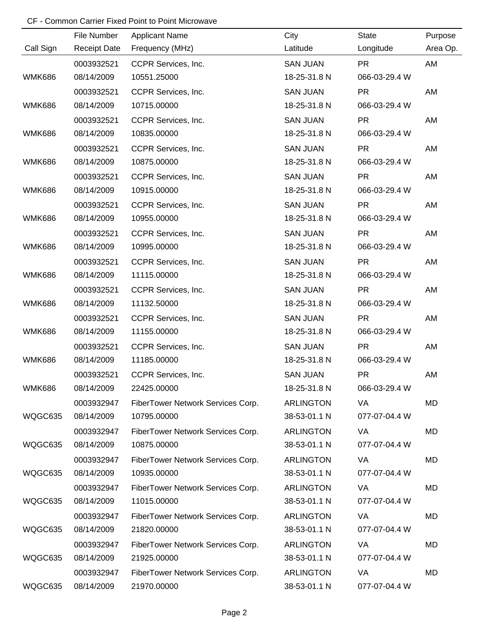## CF - Common Carrier Fixed Point to Point Microwave

|               | File Number         | <b>Applicant Name</b>             | City             | <b>State</b>  | Purpose  |
|---------------|---------------------|-----------------------------------|------------------|---------------|----------|
| Call Sign     | <b>Receipt Date</b> | Frequency (MHz)                   | Latitude         | Longitude     | Area Op. |
|               | 0003932521          | CCPR Services, Inc.               | <b>SAN JUAN</b>  | <b>PR</b>     | AM       |
| <b>WMK686</b> | 08/14/2009          | 10551.25000                       | 18-25-31.8 N     | 066-03-29.4 W |          |
|               | 0003932521          | CCPR Services, Inc.               | <b>SAN JUAN</b>  | <b>PR</b>     | AM       |
| <b>WMK686</b> | 08/14/2009          | 10715.00000                       | 18-25-31.8 N     | 066-03-29.4 W |          |
|               | 0003932521          | CCPR Services, Inc.               | <b>SAN JUAN</b>  | <b>PR</b>     | AM       |
| <b>WMK686</b> | 08/14/2009          | 10835.00000                       | 18-25-31.8 N     | 066-03-29.4 W |          |
|               | 0003932521          | CCPR Services, Inc.               | <b>SAN JUAN</b>  | <b>PR</b>     | AM       |
| <b>WMK686</b> | 08/14/2009          | 10875.00000                       | 18-25-31.8 N     | 066-03-29.4 W |          |
|               | 0003932521          | CCPR Services, Inc.               | <b>SAN JUAN</b>  | <b>PR</b>     | AM       |
| <b>WMK686</b> | 08/14/2009          | 10915.00000                       | 18-25-31.8 N     | 066-03-29.4 W |          |
|               | 0003932521          | CCPR Services, Inc.               | <b>SAN JUAN</b>  | <b>PR</b>     | AM       |
| <b>WMK686</b> | 08/14/2009          | 10955.00000                       | 18-25-31.8 N     | 066-03-29.4 W |          |
|               | 0003932521          | CCPR Services, Inc.               | <b>SAN JUAN</b>  | <b>PR</b>     | AM       |
| <b>WMK686</b> | 08/14/2009          | 10995.00000                       | 18-25-31.8 N     | 066-03-29.4 W |          |
|               | 0003932521          | CCPR Services, Inc.               | <b>SAN JUAN</b>  | <b>PR</b>     | AM       |
| <b>WMK686</b> | 08/14/2009          | 11115.00000                       | 18-25-31.8 N     | 066-03-29.4 W |          |
|               | 0003932521          | CCPR Services, Inc.               | <b>SAN JUAN</b>  | <b>PR</b>     | AM       |
| <b>WMK686</b> | 08/14/2009          | 11132.50000                       | 18-25-31.8 N     | 066-03-29.4 W |          |
|               | 0003932521          | CCPR Services, Inc.               | <b>SAN JUAN</b>  | <b>PR</b>     | AM       |
| <b>WMK686</b> | 08/14/2009          | 11155.00000                       | 18-25-31.8 N     | 066-03-29.4 W |          |
|               | 0003932521          | CCPR Services, Inc.               | <b>SAN JUAN</b>  | <b>PR</b>     | AM       |
| <b>WMK686</b> | 08/14/2009          | 11185.00000                       | 18-25-31.8 N     | 066-03-29.4 W |          |
|               | 0003932521          | CCPR Services, Inc.               | <b>SAN JUAN</b>  | <b>PR</b>     | AM       |
| <b>WMK686</b> | 08/14/2009          | 22425.00000                       | 18-25-31.8 N     | 066-03-29.4 W |          |
|               | 0003932947          | FiberTower Network Services Corp. | <b>ARLINGTON</b> | VA            | MD       |
| WQGC635       | 08/14/2009          | 10795.00000                       | 38-53-01.1 N     | 077-07-04.4 W |          |
|               | 0003932947          | FiberTower Network Services Corp. | <b>ARLINGTON</b> | VA            | MD       |
| WQGC635       | 08/14/2009          | 10875.00000                       | 38-53-01.1 N     | 077-07-04.4 W |          |
|               | 0003932947          | FiberTower Network Services Corp. | <b>ARLINGTON</b> | VA            | MD       |
| WQGC635       | 08/14/2009          | 10935.00000                       | 38-53-01.1 N     | 077-07-04.4 W |          |
|               | 0003932947          | FiberTower Network Services Corp. | <b>ARLINGTON</b> | VA            | MD       |
| WQGC635       | 08/14/2009          | 11015.00000                       | 38-53-01.1 N     | 077-07-04.4 W |          |
|               | 0003932947          | FiberTower Network Services Corp. | <b>ARLINGTON</b> | <b>VA</b>     | MD       |
| WQGC635       | 08/14/2009          | 21820.00000                       | 38-53-01.1 N     | 077-07-04.4 W |          |
|               | 0003932947          | FiberTower Network Services Corp. | <b>ARLINGTON</b> | <b>VA</b>     | MD       |
| WQGC635       | 08/14/2009          | 21925.00000                       | 38-53-01.1 N     | 077-07-04.4 W |          |
|               | 0003932947          | FiberTower Network Services Corp. | <b>ARLINGTON</b> | VA            | MD       |
| WQGC635       | 08/14/2009          | 21970.00000                       | 38-53-01.1 N     | 077-07-04.4 W |          |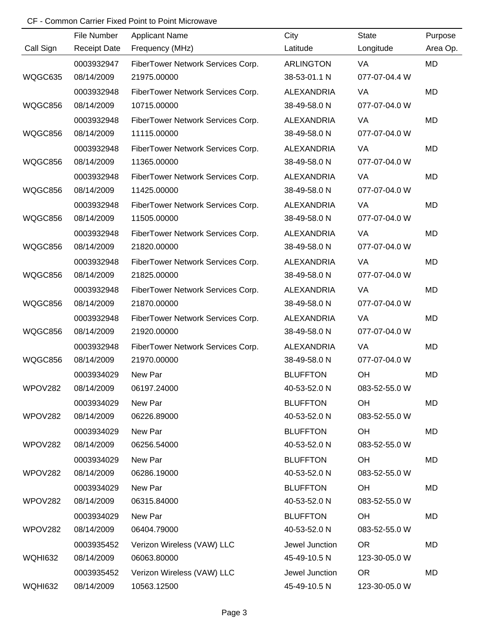## CF - Common Carrier Fixed Point to Point Microwave

|                | File Number         | <b>Applicant Name</b>             | City              | <b>State</b>  | Purpose   |
|----------------|---------------------|-----------------------------------|-------------------|---------------|-----------|
| Call Sign      | <b>Receipt Date</b> | Frequency (MHz)                   | Latitude          | Longitude     | Area Op.  |
|                | 0003932947          | FiberTower Network Services Corp. | <b>ARLINGTON</b>  | VA            | MD        |
| WQGC635        | 08/14/2009          | 21975.00000                       | 38-53-01.1 N      | 077-07-04.4 W |           |
|                | 0003932948          | FiberTower Network Services Corp. | <b>ALEXANDRIA</b> | VA            | <b>MD</b> |
| WQGC856        | 08/14/2009          | 10715.00000                       | 38-49-58.0 N      | 077-07-04.0 W |           |
|                | 0003932948          | FiberTower Network Services Corp. | <b>ALEXANDRIA</b> | <b>VA</b>     | <b>MD</b> |
| WQGC856        | 08/14/2009          | 11115.00000                       | 38-49-58.0 N      | 077-07-04.0 W |           |
|                | 0003932948          | FiberTower Network Services Corp. | <b>ALEXANDRIA</b> | VA            | MD        |
| WQGC856        | 08/14/2009          | 11365.00000                       | 38-49-58.0 N      | 077-07-04.0 W |           |
|                | 0003932948          | FiberTower Network Services Corp. | <b>ALEXANDRIA</b> | VA            | MD        |
| WQGC856        | 08/14/2009          | 11425.00000                       | 38-49-58.0 N      | 077-07-04.0 W |           |
|                | 0003932948          | FiberTower Network Services Corp. | <b>ALEXANDRIA</b> | VA            | MD        |
| WQGC856        | 08/14/2009          | 11505.00000                       | 38-49-58.0 N      | 077-07-04.0 W |           |
|                | 0003932948          | FiberTower Network Services Corp. | <b>ALEXANDRIA</b> | <b>VA</b>     | MD        |
| WQGC856        | 08/14/2009          | 21820.00000                       | 38-49-58.0 N      | 077-07-04.0 W |           |
|                | 0003932948          | FiberTower Network Services Corp. | <b>ALEXANDRIA</b> | VA            | MD        |
| WQGC856        | 08/14/2009          | 21825.00000                       | 38-49-58.0 N      | 077-07-04.0 W |           |
|                | 0003932948          | FiberTower Network Services Corp. | <b>ALEXANDRIA</b> | VA            | MD        |
| WQGC856        | 08/14/2009          | 21870.00000                       | 38-49-58.0 N      | 077-07-04.0 W |           |
|                | 0003932948          | FiberTower Network Services Corp. | <b>ALEXANDRIA</b> | VA            | MD        |
| WQGC856        | 08/14/2009          | 21920.00000                       | 38-49-58.0 N      | 077-07-04.0 W |           |
|                | 0003932948          | FiberTower Network Services Corp. | <b>ALEXANDRIA</b> | VA            | <b>MD</b> |
| WQGC856        | 08/14/2009          | 21970.00000                       | 38-49-58.0 N      | 077-07-04.0 W |           |
|                | 0003934029          | New Par                           | <b>BLUFFTON</b>   | OH            | MD        |
| WPOV282        | 08/14/2009          | 06197.24000                       | 40-53-52.0 N      | 083-52-55.0 W |           |
|                | 0003934029          | New Par                           | <b>BLUFFTON</b>   | OH            | MD        |
| WPOV282        | 08/14/2009          | 06226.89000                       | 40-53-52.0 N      | 083-52-55.0 W |           |
|                | 0003934029          | New Par                           | <b>BLUFFTON</b>   | OH            | MD        |
| WPOV282        | 08/14/2009          | 06256.54000                       | 40-53-52.0 N      | 083-52-55.0 W |           |
|                | 0003934029          | New Par                           | <b>BLUFFTON</b>   | OH            | MD        |
| WPOV282        | 08/14/2009          | 06286.19000                       | 40-53-52.0 N      | 083-52-55.0 W |           |
|                | 0003934029          | New Par                           | <b>BLUFFTON</b>   | OH            | MD        |
| WPOV282        | 08/14/2009          | 06315.84000                       | 40-53-52.0 N      | 083-52-55.0 W |           |
|                | 0003934029          | New Par                           | <b>BLUFFTON</b>   | OH            | MD        |
| WPOV282        | 08/14/2009          | 06404.79000                       | 40-53-52.0 N      | 083-52-55.0 W |           |
|                | 0003935452          | Verizon Wireless (VAW) LLC        | Jewel Junction    | <b>OR</b>     | MD        |
| <b>WQHI632</b> | 08/14/2009          | 06063.80000                       | 45-49-10.5 N      | 123-30-05.0 W |           |
|                | 0003935452          | Verizon Wireless (VAW) LLC        | Jewel Junction    | <b>OR</b>     | MD        |
| <b>WQHI632</b> | 08/14/2009          | 10563.12500                       | 45-49-10.5 N      | 123-30-05.0 W |           |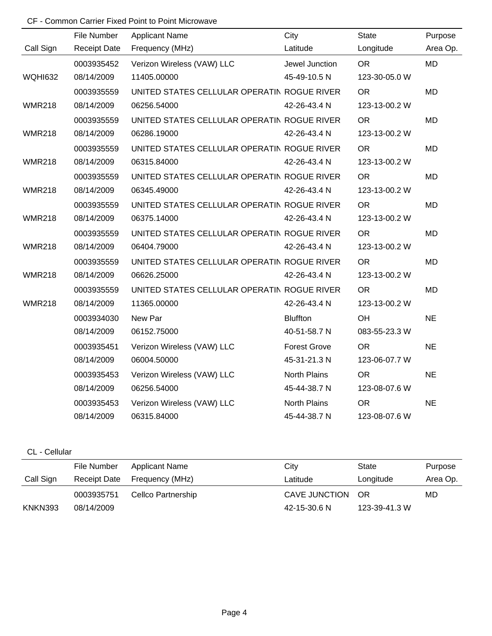# CF - Common Carrier Fixed Point to Point Microwave

|                | File Number         | <b>Applicant Name</b>                       | City                | <b>State</b>  | Purpose   |
|----------------|---------------------|---------------------------------------------|---------------------|---------------|-----------|
| Call Sign      | <b>Receipt Date</b> | Frequency (MHz)                             | Latitude            | Longitude     | Area Op.  |
|                | 0003935452          | Verizon Wireless (VAW) LLC                  | Jewel Junction      | <b>OR</b>     | <b>MD</b> |
| <b>WQHI632</b> | 08/14/2009          | 11405.00000                                 | 45-49-10.5 N        | 123-30-05.0 W |           |
|                | 0003935559          | UNITED STATES CELLULAR OPERATIN ROGUE RIVER |                     | <b>OR</b>     | <b>MD</b> |
| <b>WMR218</b>  | 08/14/2009          | 06256.54000                                 | 42-26-43.4 N        | 123-13-00.2 W |           |
|                | 0003935559          | UNITED STATES CELLULAR OPERATIN ROGUE RIVER |                     | <b>OR</b>     | <b>MD</b> |
| <b>WMR218</b>  | 08/14/2009          | 06286.19000                                 | 42-26-43.4 N        | 123-13-00.2 W |           |
|                | 0003935559          | UNITED STATES CELLULAR OPERATIN ROGUE RIVER |                     | <b>OR</b>     | <b>MD</b> |
| <b>WMR218</b>  | 08/14/2009          | 06315.84000                                 | 42-26-43.4 N        | 123-13-00.2 W |           |
|                | 0003935559          | UNITED STATES CELLULAR OPERATIN ROGUE RIVER |                     | <b>OR</b>     | <b>MD</b> |
| <b>WMR218</b>  | 08/14/2009          | 06345.49000                                 | 42-26-43.4 N        | 123-13-00.2 W |           |
|                | 0003935559          | UNITED STATES CELLULAR OPERATIN ROGUE RIVER |                     | <b>OR</b>     | <b>MD</b> |
| <b>WMR218</b>  | 08/14/2009          | 06375.14000                                 | 42-26-43.4 N        | 123-13-00.2 W |           |
|                | 0003935559          | UNITED STATES CELLULAR OPERATIN ROGUE RIVER |                     | <b>OR</b>     | <b>MD</b> |
| <b>WMR218</b>  | 08/14/2009          | 06404.79000                                 | 42-26-43.4 N        | 123-13-00.2 W |           |
|                | 0003935559          | UNITED STATES CELLULAR OPERATIN ROGUE RIVER |                     | <b>OR</b>     | MD        |
| <b>WMR218</b>  | 08/14/2009          | 06626.25000                                 | 42-26-43.4 N        | 123-13-00.2 W |           |
|                | 0003935559          | UNITED STATES CELLULAR OPERATIN ROGUE RIVER |                     | <b>OR</b>     | <b>MD</b> |
| <b>WMR218</b>  | 08/14/2009          | 11365.00000                                 | 42-26-43.4 N        | 123-13-00.2 W |           |
|                | 0003934030          | New Par                                     | <b>Bluffton</b>     | OH            | <b>NE</b> |
|                | 08/14/2009          | 06152.75000                                 | 40-51-58.7 N        | 083-55-23.3 W |           |
|                | 0003935451          | Verizon Wireless (VAW) LLC                  | <b>Forest Grove</b> | <b>OR</b>     | <b>NE</b> |
|                | 08/14/2009          | 06004.50000                                 | 45-31-21.3 N        | 123-06-07.7 W |           |
|                | 0003935453          | Verizon Wireless (VAW) LLC                  | North Plains        | <b>OR</b>     | <b>NE</b> |
|                | 08/14/2009          | 06256.54000                                 | 45-44-38.7 N        | 123-08-07.6 W |           |
|                | 0003935453          | Verizon Wireless (VAW) LLC                  | North Plains        | <b>OR</b>     | <b>NE</b> |
|                | 08/14/2009          | 06315.84000                                 | 45-44-38.7 N        | 123-08-07.6 W |           |

### CL - Cellular

|           | File Number         | Applicant Name     | City             | State         | Purpose  |
|-----------|---------------------|--------------------|------------------|---------------|----------|
| Call Sign | <b>Receipt Date</b> | Frequency (MHz)    | Latitude         | Longitude     | Area Op. |
|           | 0003935751          | Cellco Partnership | CAVE JUNCTION OR |               | MD       |
| KNKN393   | 08/14/2009          |                    | 42-15-30.6 N     | 123-39-41.3 W |          |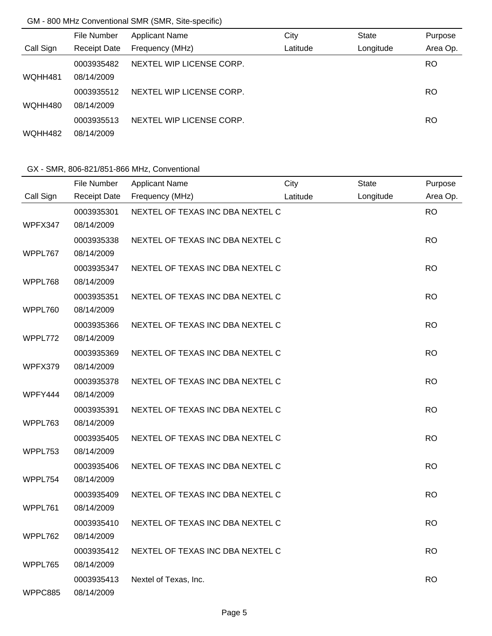# GM - 800 MHz Conventional SMR (SMR, Site-specific)

|           | File Number         | <b>Applicant Name</b>    | City     | <b>State</b> | Purpose  |
|-----------|---------------------|--------------------------|----------|--------------|----------|
| Call Sign | <b>Receipt Date</b> | Frequency (MHz)          | Latitude | Longitude    | Area Op. |
|           | 0003935482          | NEXTEL WIP LICENSE CORP. |          |              | RO.      |
| WQHH481   | 08/14/2009          |                          |          |              |          |
|           | 0003935512          | NEXTEL WIP LICENSE CORP. |          |              | RO       |
| WQHH480   | 08/14/2009          |                          |          |              |          |
|           | 0003935513          | NEXTEL WIP LICENSE CORP. |          |              | RO       |
| WQHH482   | 08/14/2009          |                          |          |              |          |

# GX - SMR, 806-821/851-866 MHz, Conventional

|           | File Number         | <b>Applicant Name</b>            | City     | <b>State</b> | Purpose   |
|-----------|---------------------|----------------------------------|----------|--------------|-----------|
| Call Sign | <b>Receipt Date</b> | Frequency (MHz)                  | Latitude | Longitude    | Area Op.  |
|           | 0003935301          | NEXTEL OF TEXAS INC DBA NEXTEL C |          |              | <b>RO</b> |
| WPFX347   | 08/14/2009          |                                  |          |              |           |
|           | 0003935338          | NEXTEL OF TEXAS INC DBA NEXTEL C |          |              | <b>RO</b> |
| WPPL767   | 08/14/2009          |                                  |          |              |           |
|           | 0003935347          | NEXTEL OF TEXAS INC DBA NEXTEL C |          |              | <b>RO</b> |
| WPPL768   | 08/14/2009          |                                  |          |              |           |
|           | 0003935351          | NEXTEL OF TEXAS INC DBA NEXTEL C |          |              | <b>RO</b> |
| WPPL760   | 08/14/2009          |                                  |          |              |           |
|           | 0003935366          | NEXTEL OF TEXAS INC DBA NEXTEL C |          |              | <b>RO</b> |
| WPPL772   | 08/14/2009          |                                  |          |              |           |
|           | 0003935369          | NEXTEL OF TEXAS INC DBA NEXTEL C |          |              | <b>RO</b> |
| WPFX379   | 08/14/2009          |                                  |          |              |           |
|           | 0003935378          | NEXTEL OF TEXAS INC DBA NEXTEL C |          |              | <b>RO</b> |
| WPFY444   | 08/14/2009          |                                  |          |              |           |
|           | 0003935391          | NEXTEL OF TEXAS INC DBA NEXTEL C |          |              | <b>RO</b> |
| WPPL763   | 08/14/2009          |                                  |          |              |           |
|           | 0003935405          | NEXTEL OF TEXAS INC DBA NEXTEL C |          |              | <b>RO</b> |
| WPPL753   | 08/14/2009          |                                  |          |              |           |
|           | 0003935406          | NEXTEL OF TEXAS INC DBA NEXTEL C |          |              | <b>RO</b> |
| WPPL754   | 08/14/2009          |                                  |          |              |           |
|           | 0003935409          | NEXTEL OF TEXAS INC DBA NEXTEL C |          |              | <b>RO</b> |
| WPPL761   | 08/14/2009          |                                  |          |              |           |
|           | 0003935410          | NEXTEL OF TEXAS INC DBA NEXTEL C |          |              | <b>RO</b> |
| WPPL762   | 08/14/2009          |                                  |          |              |           |
|           | 0003935412          | NEXTEL OF TEXAS INC DBA NEXTEL C |          |              | <b>RO</b> |
| WPPL765   | 08/14/2009          |                                  |          |              |           |
|           | 0003935413          | Nextel of Texas, Inc.            |          |              | <b>RO</b> |
| WPPC885   | 08/14/2009          |                                  |          |              |           |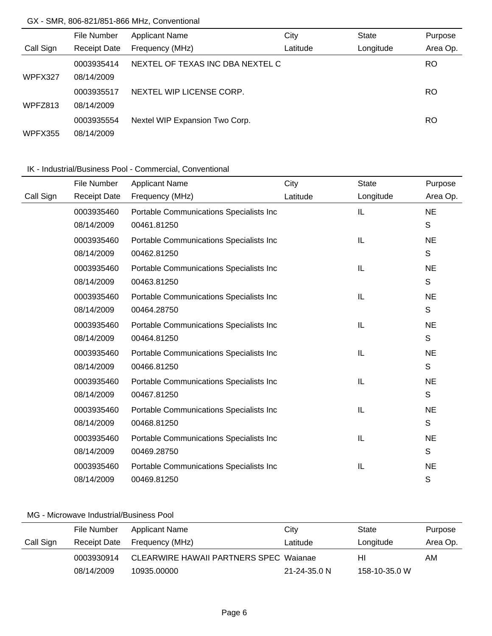## GX - SMR, 806-821/851-866 MHz, Conventional

|           | File Number         | <b>Applicant Name</b>            | City     | <b>State</b> | Purpose  |
|-----------|---------------------|----------------------------------|----------|--------------|----------|
| Call Sign | <b>Receipt Date</b> | Frequency (MHz)                  | Latitude | Longitude    | Area Op. |
|           | 0003935414          | NEXTEL OF TEXAS INC DBA NEXTEL C |          |              | RO.      |
| WPFX327   | 08/14/2009          |                                  |          |              |          |
|           | 0003935517          | NEXTEL WIP LICENSE CORP.         |          |              | RO       |
| WPFZ813   | 08/14/2009          |                                  |          |              |          |
|           | 0003935554          | Nextel WIP Expansion Two Corp.   |          |              | RO       |
| WPFX355   | 08/14/2009          |                                  |          |              |          |

## IK - Industrial/Business Pool - Commercial, Conventional

|           | File Number         | <b>Applicant Name</b>                   | City     | <b>State</b> | Purpose     |
|-----------|---------------------|-----------------------------------------|----------|--------------|-------------|
| Call Sign | <b>Receipt Date</b> | Frequency (MHz)                         | Latitude | Longitude    | Area Op.    |
|           | 0003935460          | Portable Communications Specialists Inc |          | IL           | <b>NE</b>   |
|           | 08/14/2009          | 00461.81250                             |          |              | S           |
|           | 0003935460          | Portable Communications Specialists Inc |          | IL           | <b>NE</b>   |
|           | 08/14/2009          | 00462.81250                             |          |              | S           |
|           | 0003935460          | Portable Communications Specialists Inc |          | IL           | <b>NE</b>   |
|           | 08/14/2009          | 00463.81250                             |          |              | S           |
|           | 0003935460          | Portable Communications Specialists Inc |          | IL           | <b>NE</b>   |
|           | 08/14/2009          | 00464.28750                             |          |              | S           |
|           | 0003935460          | Portable Communications Specialists Inc |          | IL           | <b>NE</b>   |
|           | 08/14/2009          | 00464.81250                             |          |              | S           |
|           | 0003935460          | Portable Communications Specialists Inc |          | IL           | <b>NE</b>   |
|           | 08/14/2009          | 00466.81250                             |          |              | S           |
|           | 0003935460          | Portable Communications Specialists Inc |          | IL           | <b>NE</b>   |
|           | 08/14/2009          | 00467.81250                             |          |              | S           |
|           | 0003935460          | Portable Communications Specialists Inc |          | IL           | <b>NE</b>   |
|           | 08/14/2009          | 00468.81250                             |          |              | S           |
|           | 0003935460          | Portable Communications Specialists Inc |          | IL           | <b>NE</b>   |
|           | 08/14/2009          | 00469.28750                             |          |              | $\mathsf S$ |
|           | 0003935460          | Portable Communications Specialists Inc |          | IL           | <b>NE</b>   |
|           | 08/14/2009          | 00469.81250                             |          |              | S           |

|           | File Number  | Applicant Name                         | City               | State         | Purpose  |
|-----------|--------------|----------------------------------------|--------------------|---------------|----------|
| Call Sign | Receipt Date | Frequency (MHz)                        | Latitude           | Longitude     | Area Op. |
|           | 0003930914   | CLEARWIRE HAWAII PARTNERS SPEC Wajanae |                    | HI            | AM.      |
|           | 08/14/2009   | 10935.00000                            | $21 - 24 - 35.0$ N | 158-10-35.0 W |          |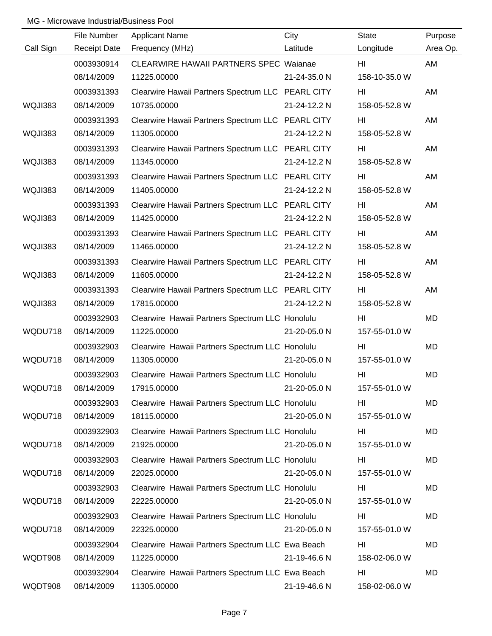|           | File Number         | <b>Applicant Name</b>                             | City         | <b>State</b>   | Purpose   |
|-----------|---------------------|---------------------------------------------------|--------------|----------------|-----------|
| Call Sign | <b>Receipt Date</b> | Frequency (MHz)                                   | Latitude     | Longitude      | Area Op.  |
|           | 0003930914          | <b>CLEARWIRE HAWAII PARTNERS SPEC Waianae</b>     |              | HI             | AM        |
|           | 08/14/2009          | 11225.00000                                       | 21-24-35.0 N | 158-10-35.0 W  |           |
|           | 0003931393          | Clearwire Hawaii Partners Spectrum LLC PEARL CITY |              | HI             | AM        |
| WQJI383   | 08/14/2009          | 10735.00000                                       | 21-24-12.2 N | 158-05-52.8 W  |           |
|           | 0003931393          | Clearwire Hawaii Partners Spectrum LLC PEARL CITY |              | HI             | AM        |
| WQJI383   | 08/14/2009          | 11305.00000                                       | 21-24-12.2 N | 158-05-52.8 W  |           |
|           | 0003931393          | Clearwire Hawaii Partners Spectrum LLC PEARL CITY |              | HI             | AM        |
| WQJI383   | 08/14/2009          | 11345.00000                                       | 21-24-12.2 N | 158-05-52.8 W  |           |
|           | 0003931393          | Clearwire Hawaii Partners Spectrum LLC PEARL CITY |              | HI             | AM        |
| WQJI383   | 08/14/2009          | 11405.00000                                       | 21-24-12.2 N | 158-05-52.8 W  |           |
|           | 0003931393          | Clearwire Hawaii Partners Spectrum LLC PEARL CITY |              | HI             | AM        |
| WQJI383   | 08/14/2009          | 11425.00000                                       | 21-24-12.2 N | 158-05-52.8 W  |           |
|           | 0003931393          | Clearwire Hawaii Partners Spectrum LLC PEARL CITY |              | HI             | AM        |
| WQJI383   | 08/14/2009          | 11465.00000                                       | 21-24-12.2 N | 158-05-52.8 W  |           |
|           | 0003931393          | Clearwire Hawaii Partners Spectrum LLC PEARL CITY |              | HI             | AM        |
| WQJI383   | 08/14/2009          | 11605.00000                                       | 21-24-12.2 N | 158-05-52.8 W  |           |
|           | 0003931393          | Clearwire Hawaii Partners Spectrum LLC PEARL CITY |              | HI             | AM        |
| WQJI383   | 08/14/2009          | 17815.00000                                       | 21-24-12.2 N | 158-05-52.8 W  |           |
|           | 0003932903          | Clearwire Hawaii Partners Spectrum LLC Honolulu   |              | HI             | <b>MD</b> |
| WQDU718   | 08/14/2009          | 11225.00000                                       | 21-20-05.0 N | 157-55-01.0 W  |           |
|           | 0003932903          | Clearwire Hawaii Partners Spectrum LLC Honolulu   |              | HI             | <b>MD</b> |
| WQDU718   | 08/14/2009          | 11305.00000                                       | 21-20-05.0 N | 157-55-01.0 W  |           |
|           | 0003932903          | Clearwire Hawaii Partners Spectrum LLC Honolulu   |              | H <sub>l</sub> | <b>MD</b> |
| WQDU718   | 08/14/2009          | 17915.00000                                       | 21-20-05.0 N | 157-55-01.0 W  |           |
|           | 0003932903          | Clearwire Hawaii Partners Spectrum LLC Honolulu   |              | HI             | MD        |
| WQDU718   | 08/14/2009          | 18115.00000                                       | 21-20-05.0 N | 157-55-01.0 W  |           |
|           | 0003932903          | Clearwire Hawaii Partners Spectrum LLC Honolulu   |              | HI             | MD        |
| WQDU718   | 08/14/2009          | 21925.00000                                       | 21-20-05.0 N | 157-55-01.0 W  |           |
|           | 0003932903          | Clearwire Hawaii Partners Spectrum LLC Honolulu   |              | HI             | MD        |
| WQDU718   | 08/14/2009          | 22025.00000                                       | 21-20-05.0 N | 157-55-01.0 W  |           |
|           | 0003932903          | Clearwire Hawaii Partners Spectrum LLC Honolulu   |              | HI             | MD        |
| WQDU718   | 08/14/2009          | 22225.00000                                       | 21-20-05.0 N | 157-55-01.0 W  |           |
|           | 0003932903          | Clearwire Hawaii Partners Spectrum LLC Honolulu   |              | HI             | <b>MD</b> |
| WQDU718   | 08/14/2009          | 22325.00000                                       | 21-20-05.0 N | 157-55-01.0 W  |           |
|           | 0003932904          | Clearwire Hawaii Partners Spectrum LLC Ewa Beach  |              | H <sub>l</sub> | MD        |
| WQDT908   | 08/14/2009          | 11225.00000                                       | 21-19-46.6 N | 158-02-06.0 W  |           |
|           | 0003932904          | Clearwire Hawaii Partners Spectrum LLC Ewa Beach  |              | HI             | MD        |
| WQDT908   | 08/14/2009          | 11305.00000                                       | 21-19-46.6 N | 158-02-06.0 W  |           |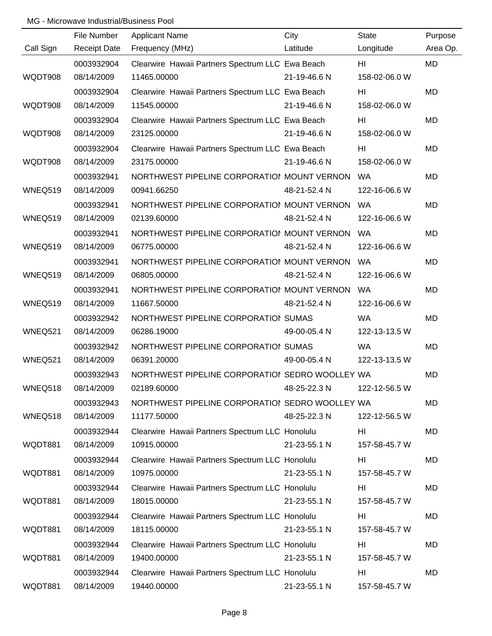|           | File Number         | <b>Applicant Name</b>                            | City         | <b>State</b>   | Purpose   |
|-----------|---------------------|--------------------------------------------------|--------------|----------------|-----------|
| Call Sign | <b>Receipt Date</b> | Frequency (MHz)                                  | Latitude     | Longitude      | Area Op.  |
|           | 0003932904          | Clearwire Hawaii Partners Spectrum LLC Ewa Beach |              | HI             | <b>MD</b> |
| WQDT908   | 08/14/2009          | 11465.00000                                      | 21-19-46.6 N | 158-02-06.0 W  |           |
|           | 0003932904          | Clearwire Hawaii Partners Spectrum LLC Ewa Beach |              | HI             | <b>MD</b> |
| WQDT908   | 08/14/2009          | 11545.00000                                      | 21-19-46.6 N | 158-02-06.0 W  |           |
|           | 0003932904          | Clearwire Hawaii Partners Spectrum LLC Ewa Beach |              | HI             | MD        |
| WQDT908   | 08/14/2009          | 23125.00000                                      | 21-19-46.6 N | 158-02-06.0 W  |           |
|           | 0003932904          | Clearwire Hawaii Partners Spectrum LLC Ewa Beach |              | HI             | <b>MD</b> |
| WQDT908   | 08/14/2009          | 23175.00000                                      | 21-19-46.6 N | 158-02-06.0 W  |           |
|           | 0003932941          | NORTHWEST PIPELINE CORPORATIOI MOUNT VERNON      |              | WA             | MD        |
| WNEQ519   | 08/14/2009          | 00941.66250                                      | 48-21-52.4 N | 122-16-06.6 W  |           |
|           | 0003932941          | NORTHWEST PIPELINE CORPORATIOI MOUNT VERNON      |              | <b>WA</b>      | MD        |
| WNEQ519   | 08/14/2009          | 02139.60000                                      | 48-21-52.4 N | 122-16-06.6 W  |           |
|           | 0003932941          | NORTHWEST PIPELINE CORPORATION MOUNT VERNON      |              | <b>WA</b>      | MD        |
| WNEQ519   | 08/14/2009          | 06775.00000                                      | 48-21-52.4 N | 122-16-06.6 W  |           |
|           | 0003932941          | NORTHWEST PIPELINE CORPORATIOI MOUNT VERNON      |              | WA             | MD        |
| WNEQ519   | 08/14/2009          | 06805.00000                                      | 48-21-52.4 N | 122-16-06.6 W  |           |
|           | 0003932941          | NORTHWEST PIPELINE CORPORATIOI MOUNT VERNON      |              | WA             | MD        |
| WNEQ519   | 08/14/2009          | 11667.50000                                      | 48-21-52.4 N | 122-16-06.6 W  |           |
|           | 0003932942          | NORTHWEST PIPELINE CORPORATIOI SUMAS             |              | <b>WA</b>      | MD        |
| WNEQ521   | 08/14/2009          | 06286.19000                                      | 49-00-05.4 N | 122-13-13.5 W  |           |
|           | 0003932942          | NORTHWEST PIPELINE CORPORATIOI SUMAS             |              | <b>WA</b>      | MD        |
| WNEQ521   | 08/14/2009          | 06391.20000                                      | 49-00-05.4 N | 122-13-13.5 W  |           |
|           | 0003932943          | NORTHWEST PIPELINE CORPORATIOI SEDRO WOOLLEY WA  |              |                | <b>MD</b> |
| WNEQ518   | 08/14/2009          | 02189.60000                                      | 48-25-22.3 N | 122-12-56.5 W  |           |
|           | 0003932943          | NORTHWEST PIPELINE CORPORATIOI SEDRO WOOLLEY WA  |              |                | MD        |
| WNEQ518   | 08/14/2009          | 11177.50000                                      | 48-25-22.3 N | 122-12-56.5 W  |           |
|           | 0003932944          | Clearwire Hawaii Partners Spectrum LLC Honolulu  |              | HI             | MD        |
| WQDT881   | 08/14/2009          | 10915.00000                                      | 21-23-55.1 N | 157-58-45.7 W  |           |
|           | 0003932944          | Clearwire Hawaii Partners Spectrum LLC Honolulu  |              | HI             | MD        |
| WQDT881   | 08/14/2009          | 10975.00000                                      | 21-23-55.1 N | 157-58-45.7 W  |           |
|           | 0003932944          | Clearwire Hawaii Partners Spectrum LLC Honolulu  |              | HI             | MD        |
| WQDT881   | 08/14/2009          | 18015.00000                                      | 21-23-55.1 N | 157-58-45.7 W  |           |
|           | 0003932944          | Clearwire Hawaii Partners Spectrum LLC Honolulu  |              | H <sub>l</sub> | MD        |
| WQDT881   | 08/14/2009          | 18115.00000                                      | 21-23-55.1 N | 157-58-45.7 W  |           |
|           | 0003932944          | Clearwire Hawaii Partners Spectrum LLC Honolulu  |              | HI             | MD        |
| WQDT881   | 08/14/2009          | 19400.00000                                      | 21-23-55.1 N | 157-58-45.7 W  |           |
|           | 0003932944          | Clearwire Hawaii Partners Spectrum LLC Honolulu  |              | HI             | MD        |
| WQDT881   | 08/14/2009          | 19440.00000                                      | 21-23-55.1 N | 157-58-45.7 W  |           |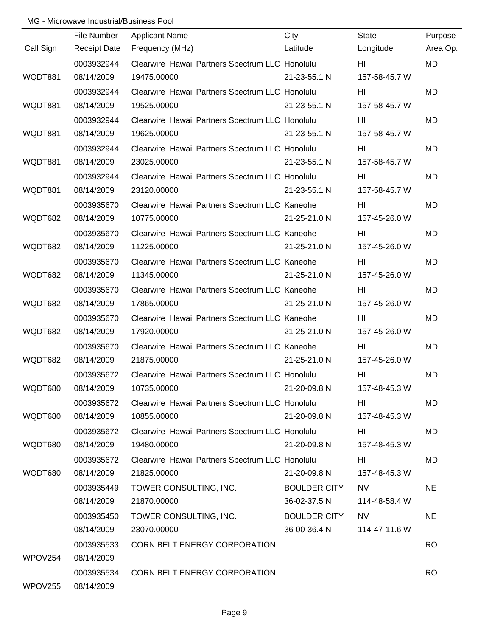|           | File Number         | <b>Applicant Name</b>                           | City                | <b>State</b>    | Purpose   |
|-----------|---------------------|-------------------------------------------------|---------------------|-----------------|-----------|
| Call Sign | <b>Receipt Date</b> | Frequency (MHz)                                 | Latitude            | Longitude       | Area Op.  |
|           | 0003932944          | Clearwire Hawaii Partners Spectrum LLC Honolulu |                     | HI              | MD        |
| WQDT881   | 08/14/2009          | 19475.00000                                     | 21-23-55.1 N        | 157-58-45.7 W   |           |
|           | 0003932944          | Clearwire Hawaii Partners Spectrum LLC Honolulu |                     | HI              | MD        |
| WQDT881   | 08/14/2009          | 19525.00000                                     | 21-23-55.1 N        | 157-58-45.7 W   |           |
|           | 0003932944          | Clearwire Hawaii Partners Spectrum LLC Honolulu |                     | HI              | MD        |
| WQDT881   | 08/14/2009          | 19625.00000                                     | 21-23-55.1 N        | 157-58-45.7 W   |           |
|           | 0003932944          | Clearwire Hawaii Partners Spectrum LLC Honolulu |                     | HI              | <b>MD</b> |
| WQDT881   | 08/14/2009          | 23025.00000                                     | 21-23-55.1 N        | 157-58-45.7 W   |           |
|           | 0003932944          | Clearwire Hawaii Partners Spectrum LLC Honolulu |                     | HI              | <b>MD</b> |
| WQDT881   | 08/14/2009          | 23120.00000                                     | 21-23-55.1 N        | 157-58-45.7 W   |           |
|           | 0003935670          | Clearwire Hawaii Partners Spectrum LLC Kaneohe  |                     | HI              | <b>MD</b> |
| WQDT682   | 08/14/2009          | 10775.00000                                     | 21-25-21.0 N        | 157-45-26.0 W   |           |
|           | 0003935670          | Clearwire Hawaii Partners Spectrum LLC Kaneohe  |                     | HI              | <b>MD</b> |
| WQDT682   | 08/14/2009          | 11225.00000                                     | 21-25-21.0 N        | 157-45-26.0 W   |           |
|           | 0003935670          | Clearwire Hawaii Partners Spectrum LLC Kaneohe  |                     | HI              | <b>MD</b> |
| WQDT682   | 08/14/2009          | 11345.00000                                     | 21-25-21.0 N        | 157-45-26.0 W   |           |
|           | 0003935670          | Clearwire Hawaii Partners Spectrum LLC Kaneohe  |                     | HI              | <b>MD</b> |
| WQDT682   | 08/14/2009          | 17865.00000                                     | 21-25-21.0 N        | 157-45-26.0 W   |           |
|           | 0003935670          | Clearwire Hawaii Partners Spectrum LLC Kaneohe  |                     | HI              | <b>MD</b> |
| WQDT682   | 08/14/2009          | 17920.00000                                     | 21-25-21.0 N        | 157-45-26.0 W   |           |
|           | 0003935670          | Clearwire Hawaii Partners Spectrum LLC Kaneohe  |                     | HI              | <b>MD</b> |
| WQDT682   | 08/14/2009          | 21875.00000                                     | 21-25-21.0 N        | 157-45-26.0 W   |           |
|           | 0003935672          | Clearwire Hawaii Partners Spectrum LLC Honolulu |                     | H <sub>II</sub> | <b>MD</b> |
| WQDT680   | 08/14/2009          | 10735.00000                                     | 21-20-09.8 N        | 157-48-45.3 W   |           |
|           | 0003935672          | Clearwire Hawaii Partners Spectrum LLC Honolulu |                     | HI              | MD        |
| WQDT680   | 08/14/2009          | 10855.00000                                     | 21-20-09.8 N        | 157-48-45.3 W   |           |
|           | 0003935672          | Clearwire Hawaii Partners Spectrum LLC Honolulu |                     | HI              | MD        |
| WQDT680   | 08/14/2009          | 19480.00000                                     | 21-20-09.8 N        | 157-48-45.3 W   |           |
|           | 0003935672          | Clearwire Hawaii Partners Spectrum LLC Honolulu |                     | HI              | MD        |
| WQDT680   | 08/14/2009          | 21825.00000                                     | 21-20-09.8 N        | 157-48-45.3 W   |           |
|           | 0003935449          | TOWER CONSULTING, INC.                          | <b>BOULDER CITY</b> | <b>NV</b>       | <b>NE</b> |
|           | 08/14/2009          | 21870.00000                                     | 36-02-37.5 N        | 114-48-58.4 W   |           |
|           | 0003935450          | TOWER CONSULTING, INC.                          | <b>BOULDER CITY</b> | <b>NV</b>       | <b>NE</b> |
|           | 08/14/2009          | 23070.00000                                     | 36-00-36.4 N        | 114-47-11.6 W   |           |
|           | 0003935533          | CORN BELT ENERGY CORPORATION                    |                     |                 | <b>RO</b> |
| WPOV254   | 08/14/2009          |                                                 |                     |                 |           |
|           | 0003935534          | CORN BELT ENERGY CORPORATION                    |                     |                 | <b>RO</b> |
| WPOV255   | 08/14/2009          |                                                 |                     |                 |           |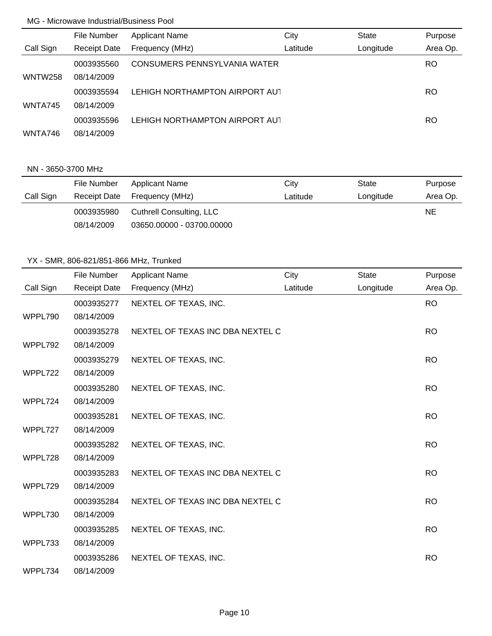|                | File Number         | <b>Applicant Name</b>               | City     | <b>State</b> | Purpose   |
|----------------|---------------------|-------------------------------------|----------|--------------|-----------|
| Call Sign      | <b>Receipt Date</b> | Frequency (MHz)                     | Latitude | Longitude    | Area Op.  |
|                | 0003935560          | <b>CONSUMERS PENNSYLVANIA WATER</b> |          |              | <b>RO</b> |
| <b>WNTW258</b> | 08/14/2009          |                                     |          |              |           |
|                | 0003935594          | LEHIGH NORTHAMPTON AIRPORT AUT      |          |              | RO        |
| WNTA745        | 08/14/2009          |                                     |          |              |           |
|                | 0003935596          | LEHIGH NORTHAMPTON AIRPORT AUT      |          |              | RO.       |
| WNTA746        | 08/14/2009          |                                     |          |              |           |

### NN - 3650-3700 MHz

|           | File Number | Applicant Name               | City     | State     | Purpose  |
|-----------|-------------|------------------------------|----------|-----------|----------|
| Call Sign |             | Receipt Date Frequency (MHz) | Latitude | Longitude | Area Op. |
|           | 0003935980  | Cuthrell Consulting, LLC     |          |           | NE.      |
|           | 08/14/2009  | 03650.00000 - 03700.00000    |          |           |          |

|           | File Number         | <b>Applicant Name</b>            | City     | <b>State</b> | Purpose   |
|-----------|---------------------|----------------------------------|----------|--------------|-----------|
| Call Sign | <b>Receipt Date</b> | Frequency (MHz)                  | Latitude | Longitude    | Area Op.  |
|           |                     |                                  |          |              |           |
|           | 0003935277          | NEXTEL OF TEXAS, INC.            |          |              | <b>RO</b> |
| WPPL790   | 08/14/2009          |                                  |          |              |           |
|           | 0003935278          | NEXTEL OF TEXAS INC DBA NEXTEL C |          |              | <b>RO</b> |
| WPPL792   | 08/14/2009          |                                  |          |              |           |
|           | 0003935279          | NEXTEL OF TEXAS, INC.            |          |              | <b>RO</b> |
| WPPL722   | 08/14/2009          |                                  |          |              |           |
|           | 0003935280          | NEXTEL OF TEXAS, INC.            |          |              | <b>RO</b> |
| WPPL724   | 08/14/2009          |                                  |          |              |           |
|           | 0003935281          | NEXTEL OF TEXAS, INC.            |          |              | <b>RO</b> |
| WPPL727   | 08/14/2009          |                                  |          |              |           |
|           | 0003935282          | NEXTEL OF TEXAS, INC.            |          |              | <b>RO</b> |
| WPPL728   | 08/14/2009          |                                  |          |              |           |
|           | 0003935283          | NEXTEL OF TEXAS INC DBA NEXTEL C |          |              | <b>RO</b> |
| WPPL729   | 08/14/2009          |                                  |          |              |           |
|           | 0003935284          | NEXTEL OF TEXAS INC DBA NEXTEL C |          |              | <b>RO</b> |
| WPPL730   | 08/14/2009          |                                  |          |              |           |
|           | 0003935285          | NEXTEL OF TEXAS, INC.            |          |              | <b>RO</b> |
| WPPL733   | 08/14/2009          |                                  |          |              |           |
|           | 0003935286          | NEXTEL OF TEXAS, INC.            |          |              | <b>RO</b> |
| WPPL734   | 08/14/2009          |                                  |          |              |           |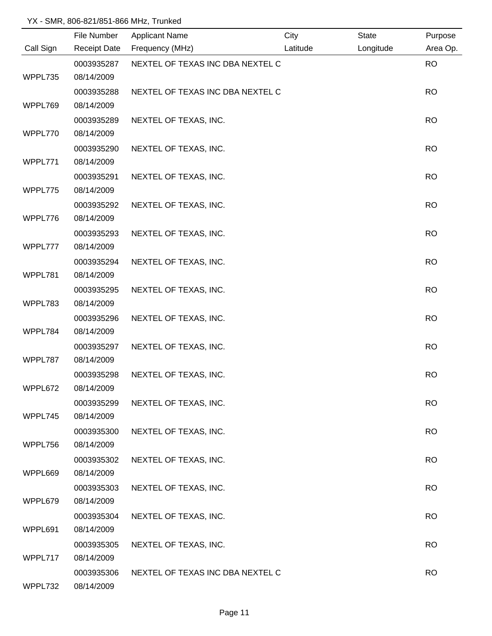|           | File Number              | <b>Applicant Name</b>            | City     | <b>State</b> | Purpose   |
|-----------|--------------------------|----------------------------------|----------|--------------|-----------|
| Call Sign | <b>Receipt Date</b>      | Frequency (MHz)                  | Latitude | Longitude    | Area Op.  |
|           | 0003935287               | NEXTEL OF TEXAS INC DBA NEXTEL C |          |              | <b>RO</b> |
| WPPL735   | 08/14/2009               |                                  |          |              |           |
|           | 0003935288               | NEXTEL OF TEXAS INC DBA NEXTEL C |          |              | <b>RO</b> |
| WPPL769   | 08/14/2009               |                                  |          |              |           |
|           | 0003935289               | NEXTEL OF TEXAS, INC.            |          |              | <b>RO</b> |
| WPPL770   | 08/14/2009               |                                  |          |              |           |
|           | 0003935290               | NEXTEL OF TEXAS, INC.            |          |              | <b>RO</b> |
| WPPL771   | 08/14/2009               |                                  |          |              |           |
|           | 0003935291               | NEXTEL OF TEXAS, INC.            |          |              | <b>RO</b> |
| WPPL775   | 08/14/2009               |                                  |          |              |           |
|           | 0003935292               | NEXTEL OF TEXAS, INC.            |          |              | <b>RO</b> |
| WPPL776   | 08/14/2009               |                                  |          |              |           |
|           | 0003935293               | NEXTEL OF TEXAS, INC.            |          |              | <b>RO</b> |
| WPPL777   | 08/14/2009               |                                  |          |              |           |
|           | 0003935294               | NEXTEL OF TEXAS, INC.            |          |              | <b>RO</b> |
| WPPL781   | 08/14/2009               |                                  |          |              |           |
|           | 0003935295               | NEXTEL OF TEXAS, INC.            |          |              | <b>RO</b> |
| WPPL783   | 08/14/2009               |                                  |          |              |           |
|           | 0003935296               | NEXTEL OF TEXAS, INC.            |          |              | <b>RO</b> |
| WPPL784   | 08/14/2009               |                                  |          |              |           |
| WPPL787   | 0003935297<br>08/14/2009 | NEXTEL OF TEXAS, INC.            |          |              | <b>RO</b> |
|           |                          |                                  |          |              | <b>RO</b> |
| WPPL672   | 0003935298<br>08/14/2009 | NEXTEL OF TEXAS, INC.            |          |              |           |
|           | 0003935299               | NEXTEL OF TEXAS, INC.            |          |              | <b>RO</b> |
| WPPL745   | 08/14/2009               |                                  |          |              |           |
|           | 0003935300               | NEXTEL OF TEXAS, INC.            |          |              | <b>RO</b> |
| WPPL756   | 08/14/2009               |                                  |          |              |           |
|           | 0003935302               | NEXTEL OF TEXAS, INC.            |          |              | <b>RO</b> |
| WPPL669   | 08/14/2009               |                                  |          |              |           |
|           | 0003935303               | NEXTEL OF TEXAS, INC.            |          |              | <b>RO</b> |
| WPPL679   | 08/14/2009               |                                  |          |              |           |
|           | 0003935304               | NEXTEL OF TEXAS, INC.            |          |              | <b>RO</b> |
| WPPL691   | 08/14/2009               |                                  |          |              |           |
|           | 0003935305               | NEXTEL OF TEXAS, INC.            |          |              | <b>RO</b> |
| WPPL717   | 08/14/2009               |                                  |          |              |           |
|           | 0003935306               | NEXTEL OF TEXAS INC DBA NEXTEL C |          |              | <b>RO</b> |
| WPPL732   | 08/14/2009               |                                  |          |              |           |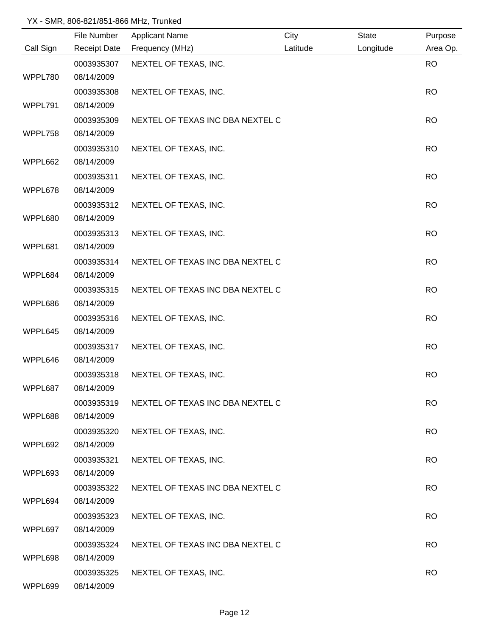|           | File Number         | <b>Applicant Name</b>            | City     | <b>State</b> | Purpose   |
|-----------|---------------------|----------------------------------|----------|--------------|-----------|
| Call Sign | <b>Receipt Date</b> | Frequency (MHz)                  | Latitude | Longitude    | Area Op.  |
|           | 0003935307          | NEXTEL OF TEXAS, INC.            |          |              | <b>RO</b> |
| WPPL780   | 08/14/2009          |                                  |          |              |           |
|           | 0003935308          | NEXTEL OF TEXAS, INC.            |          |              | <b>RO</b> |
| WPPL791   | 08/14/2009          |                                  |          |              |           |
|           | 0003935309          | NEXTEL OF TEXAS INC DBA NEXTEL C |          |              | <b>RO</b> |
| WPPL758   | 08/14/2009          |                                  |          |              |           |
|           | 0003935310          | NEXTEL OF TEXAS, INC.            |          |              | <b>RO</b> |
| WPPL662   | 08/14/2009          |                                  |          |              |           |
|           | 0003935311          | NEXTEL OF TEXAS, INC.            |          |              | <b>RO</b> |
| WPPL678   | 08/14/2009          |                                  |          |              |           |
|           | 0003935312          | NEXTEL OF TEXAS, INC.            |          |              | <b>RO</b> |
| WPPL680   | 08/14/2009          |                                  |          |              |           |
|           | 0003935313          | NEXTEL OF TEXAS, INC.            |          |              | <b>RO</b> |
| WPPL681   | 08/14/2009          |                                  |          |              |           |
|           | 0003935314          | NEXTEL OF TEXAS INC DBA NEXTEL C |          |              | <b>RO</b> |
| WPPL684   | 08/14/2009          |                                  |          |              |           |
|           | 0003935315          | NEXTEL OF TEXAS INC DBA NEXTEL C |          |              | <b>RO</b> |
| WPPL686   | 08/14/2009          |                                  |          |              |           |
|           | 0003935316          | NEXTEL OF TEXAS, INC.            |          |              | <b>RO</b> |
| WPPL645   | 08/14/2009          |                                  |          |              |           |
|           | 0003935317          | NEXTEL OF TEXAS, INC.            |          |              | <b>RO</b> |
| WPPL646   | 08/14/2009          |                                  |          |              |           |
|           | 0003935318          | NEXTEL OF TEXAS, INC.            |          |              | <b>RO</b> |
| WPPL687   | 08/14/2009          |                                  |          |              |           |
|           | 0003935319          | NEXTEL OF TEXAS INC DBA NEXTEL C |          |              | <b>RO</b> |
| WPPL688   | 08/14/2009          |                                  |          |              |           |
|           | 0003935320          | NEXTEL OF TEXAS, INC.            |          |              | <b>RO</b> |
| WPPL692   | 08/14/2009          |                                  |          |              |           |
|           | 0003935321          | NEXTEL OF TEXAS, INC.            |          |              | <b>RO</b> |
| WPPL693   | 08/14/2009          |                                  |          |              |           |
|           | 0003935322          | NEXTEL OF TEXAS INC DBA NEXTEL C |          |              | <b>RO</b> |
| WPPL694   | 08/14/2009          |                                  |          |              |           |
|           | 0003935323          | NEXTEL OF TEXAS, INC.            |          |              | <b>RO</b> |
| WPPL697   | 08/14/2009          |                                  |          |              |           |
|           | 0003935324          | NEXTEL OF TEXAS INC DBA NEXTEL C |          |              | <b>RO</b> |
| WPPL698   | 08/14/2009          |                                  |          |              |           |
|           | 0003935325          | NEXTEL OF TEXAS, INC.            |          |              | <b>RO</b> |
| WPPL699   | 08/14/2009          |                                  |          |              |           |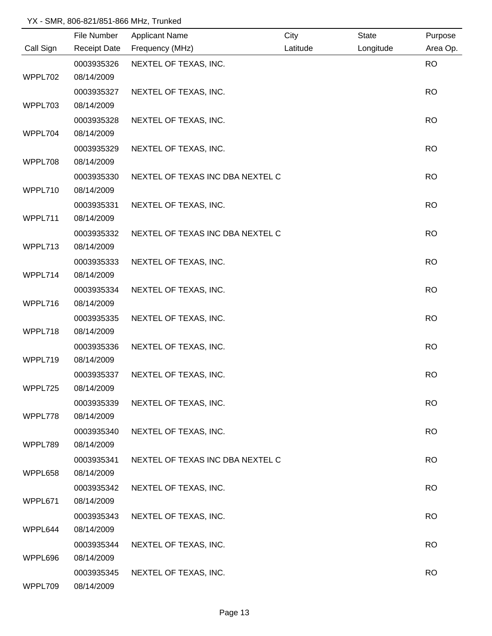|           | File Number         | <b>Applicant Name</b>            | City     | State     | Purpose   |
|-----------|---------------------|----------------------------------|----------|-----------|-----------|
| Call Sign | <b>Receipt Date</b> | Frequency (MHz)                  | Latitude | Longitude | Area Op.  |
|           | 0003935326          | NEXTEL OF TEXAS, INC.            |          |           | <b>RO</b> |
| WPPL702   | 08/14/2009          |                                  |          |           |           |
|           | 0003935327          | NEXTEL OF TEXAS, INC.            |          |           | <b>RO</b> |
| WPPL703   | 08/14/2009          |                                  |          |           |           |
|           | 0003935328          | NEXTEL OF TEXAS, INC.            |          |           | <b>RO</b> |
| WPPL704   | 08/14/2009          |                                  |          |           |           |
|           | 0003935329          | NEXTEL OF TEXAS, INC.            |          |           | <b>RO</b> |
| WPPL708   | 08/14/2009          |                                  |          |           |           |
|           | 0003935330          | NEXTEL OF TEXAS INC DBA NEXTEL C |          |           | <b>RO</b> |
| WPPL710   | 08/14/2009          |                                  |          |           |           |
|           | 0003935331          | NEXTEL OF TEXAS, INC.            |          |           | <b>RO</b> |
| WPPL711   | 08/14/2009          |                                  |          |           |           |
|           | 0003935332          | NEXTEL OF TEXAS INC DBA NEXTEL C |          |           | <b>RO</b> |
| WPPL713   | 08/14/2009          |                                  |          |           |           |
|           | 0003935333          | NEXTEL OF TEXAS, INC.            |          |           | <b>RO</b> |
| WPPL714   | 08/14/2009          |                                  |          |           |           |
|           | 0003935334          | NEXTEL OF TEXAS, INC.            |          |           | <b>RO</b> |
| WPPL716   | 08/14/2009          |                                  |          |           |           |
|           | 0003935335          | NEXTEL OF TEXAS, INC.            |          |           | <b>RO</b> |
| WPPL718   | 08/14/2009          |                                  |          |           |           |
|           | 0003935336          | NEXTEL OF TEXAS, INC.            |          |           | <b>RO</b> |
| WPPL719   | 08/14/2009          |                                  |          |           |           |
|           | 0003935337          | NEXTEL OF TEXAS, INC.            |          |           | <b>RO</b> |
| WPPL725   | 08/14/2009          |                                  |          |           |           |
|           | 0003935339          | NEXTEL OF TEXAS, INC.            |          |           | <b>RO</b> |
| WPPL778   | 08/14/2009          |                                  |          |           |           |
|           | 0003935340          | NEXTEL OF TEXAS, INC.            |          |           | <b>RO</b> |
| WPPL789   | 08/14/2009          |                                  |          |           |           |
|           | 0003935341          | NEXTEL OF TEXAS INC DBA NEXTEL C |          |           | <b>RO</b> |
| WPPL658   | 08/14/2009          |                                  |          |           |           |
|           | 0003935342          | NEXTEL OF TEXAS, INC.            |          |           | <b>RO</b> |
| WPPL671   | 08/14/2009          |                                  |          |           |           |
|           | 0003935343          | NEXTEL OF TEXAS, INC.            |          |           | <b>RO</b> |
| WPPL644   | 08/14/2009          |                                  |          |           |           |
|           | 0003935344          | NEXTEL OF TEXAS, INC.            |          |           | <b>RO</b> |
| WPPL696   | 08/14/2009          |                                  |          |           |           |
|           | 0003935345          | NEXTEL OF TEXAS, INC.            |          |           | <b>RO</b> |
| WPPL709   | 08/14/2009          |                                  |          |           |           |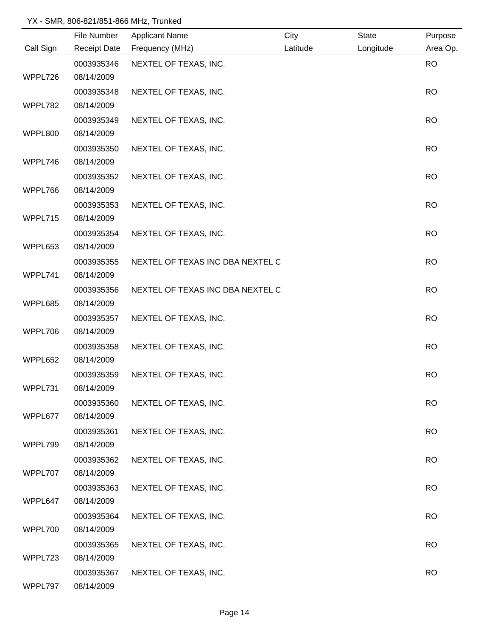|           | File Number         | <b>Applicant Name</b>            | City     | State     | Purpose   |
|-----------|---------------------|----------------------------------|----------|-----------|-----------|
| Call Sign | <b>Receipt Date</b> | Frequency (MHz)                  | Latitude | Longitude | Area Op.  |
|           | 0003935346          | NEXTEL OF TEXAS, INC.            |          |           | <b>RO</b> |
| WPPL726   | 08/14/2009          |                                  |          |           |           |
|           | 0003935348          | NEXTEL OF TEXAS, INC.            |          |           | <b>RO</b> |
| WPPL782   | 08/14/2009          |                                  |          |           |           |
|           | 0003935349          | NEXTEL OF TEXAS, INC.            |          |           | <b>RO</b> |
| WPPL800   | 08/14/2009          |                                  |          |           |           |
|           | 0003935350          | NEXTEL OF TEXAS, INC.            |          |           | <b>RO</b> |
| WPPL746   | 08/14/2009          |                                  |          |           |           |
|           | 0003935352          | NEXTEL OF TEXAS, INC.            |          |           | <b>RO</b> |
| WPPL766   | 08/14/2009          |                                  |          |           |           |
|           | 0003935353          | NEXTEL OF TEXAS, INC.            |          |           | <b>RO</b> |
| WPPL715   | 08/14/2009          |                                  |          |           |           |
|           | 0003935354          | NEXTEL OF TEXAS, INC.            |          |           | <b>RO</b> |
| WPPL653   | 08/14/2009          |                                  |          |           |           |
|           | 0003935355          | NEXTEL OF TEXAS INC DBA NEXTEL C |          |           | <b>RO</b> |
| WPPL741   | 08/14/2009          |                                  |          |           |           |
|           | 0003935356          | NEXTEL OF TEXAS INC DBA NEXTEL C |          |           | <b>RO</b> |
| WPPL685   | 08/14/2009          |                                  |          |           |           |
|           | 0003935357          | NEXTEL OF TEXAS, INC.            |          |           | <b>RO</b> |
| WPPL706   | 08/14/2009          |                                  |          |           |           |
|           | 0003935358          | NEXTEL OF TEXAS, INC.            |          |           | <b>RO</b> |
| WPPL652   | 08/14/2009          |                                  |          |           |           |
|           | 0003935359          | NEXTEL OF TEXAS, INC.            |          |           | <b>RO</b> |
| WPPL731   | 08/14/2009          |                                  |          |           |           |
|           | 0003935360          | NEXTEL OF TEXAS, INC.            |          |           | <b>RO</b> |
| WPPL677   | 08/14/2009          |                                  |          |           |           |
|           | 0003935361          | NEXTEL OF TEXAS, INC.            |          |           | <b>RO</b> |
| WPPL799   | 08/14/2009          |                                  |          |           |           |
|           | 0003935362          | NEXTEL OF TEXAS, INC.            |          |           | <b>RO</b> |
| WPPL707   | 08/14/2009          |                                  |          |           |           |
|           | 0003935363          | NEXTEL OF TEXAS, INC.            |          |           | <b>RO</b> |
| WPPL647   | 08/14/2009          |                                  |          |           |           |
|           | 0003935364          | NEXTEL OF TEXAS, INC.            |          |           | <b>RO</b> |
| WPPL700   | 08/14/2009          |                                  |          |           |           |
|           | 0003935365          | NEXTEL OF TEXAS, INC.            |          |           | <b>RO</b> |
| WPPL723   | 08/14/2009          |                                  |          |           |           |
|           | 0003935367          | NEXTEL OF TEXAS, INC.            |          |           | <b>RO</b> |
| WPPL797   | 08/14/2009          |                                  |          |           |           |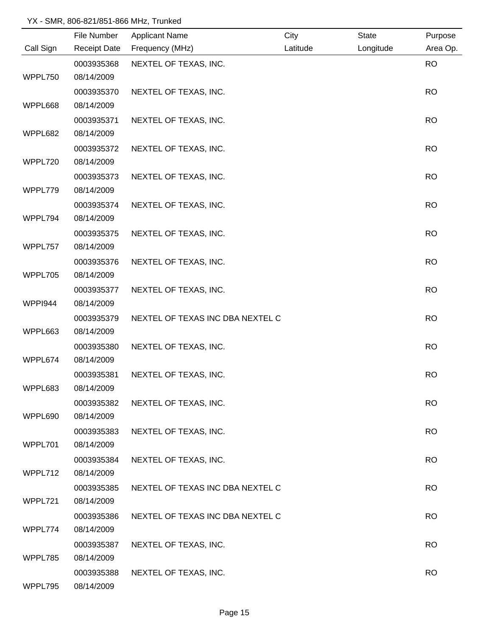|           | File Number         | <b>Applicant Name</b>            | City     | State     | Purpose   |
|-----------|---------------------|----------------------------------|----------|-----------|-----------|
| Call Sign | <b>Receipt Date</b> | Frequency (MHz)                  | Latitude | Longitude | Area Op.  |
|           | 0003935368          | NEXTEL OF TEXAS, INC.            |          |           | <b>RO</b> |
| WPPL750   | 08/14/2009          |                                  |          |           |           |
|           | 0003935370          | NEXTEL OF TEXAS, INC.            |          |           | <b>RO</b> |
| WPPL668   | 08/14/2009          |                                  |          |           |           |
|           | 0003935371          | NEXTEL OF TEXAS, INC.            |          |           | <b>RO</b> |
| WPPL682   | 08/14/2009          |                                  |          |           |           |
|           | 0003935372          | NEXTEL OF TEXAS, INC.            |          |           | <b>RO</b> |
| WPPL720   | 08/14/2009          |                                  |          |           |           |
|           | 0003935373          | NEXTEL OF TEXAS, INC.            |          |           | <b>RO</b> |
| WPPL779   | 08/14/2009          |                                  |          |           |           |
|           | 0003935374          | NEXTEL OF TEXAS, INC.            |          |           | <b>RO</b> |
| WPPL794   | 08/14/2009          |                                  |          |           |           |
|           | 0003935375          | NEXTEL OF TEXAS, INC.            |          |           | <b>RO</b> |
| WPPL757   | 08/14/2009          |                                  |          |           |           |
|           | 0003935376          | NEXTEL OF TEXAS, INC.            |          |           | <b>RO</b> |
| WPPL705   | 08/14/2009          |                                  |          |           |           |
|           | 0003935377          | NEXTEL OF TEXAS, INC.            |          |           | <b>RO</b> |
| WPPI944   | 08/14/2009          |                                  |          |           |           |
|           | 0003935379          | NEXTEL OF TEXAS INC DBA NEXTEL C |          |           | <b>RO</b> |
| WPPL663   | 08/14/2009          |                                  |          |           |           |
|           | 0003935380          | NEXTEL OF TEXAS, INC.            |          |           | <b>RO</b> |
| WPPL674   | 08/14/2009          |                                  |          |           |           |
|           | 0003935381          | NEXTEL OF TEXAS, INC.            |          |           | <b>RO</b> |
| WPPL683   | 08/14/2009          |                                  |          |           |           |
|           | 0003935382          | NEXTEL OF TEXAS, INC.            |          |           | <b>RO</b> |
| WPPL690   | 08/14/2009          |                                  |          |           |           |
|           | 0003935383          | NEXTEL OF TEXAS, INC.            |          |           | <b>RO</b> |
| WPPL701   | 08/14/2009          |                                  |          |           |           |
|           | 0003935384          | NEXTEL OF TEXAS, INC.            |          |           | <b>RO</b> |
| WPPL712   | 08/14/2009          |                                  |          |           |           |
|           | 0003935385          | NEXTEL OF TEXAS INC DBA NEXTEL C |          |           | <b>RO</b> |
| WPPL721   | 08/14/2009          |                                  |          |           |           |
|           | 0003935386          | NEXTEL OF TEXAS INC DBA NEXTEL C |          |           | <b>RO</b> |
| WPPL774   | 08/14/2009          |                                  |          |           |           |
|           | 0003935387          | NEXTEL OF TEXAS, INC.            |          |           | <b>RO</b> |
| WPPL785   | 08/14/2009          |                                  |          |           |           |
|           | 0003935388          | NEXTEL OF TEXAS, INC.            |          |           | <b>RO</b> |
| WPPL795   | 08/14/2009          |                                  |          |           |           |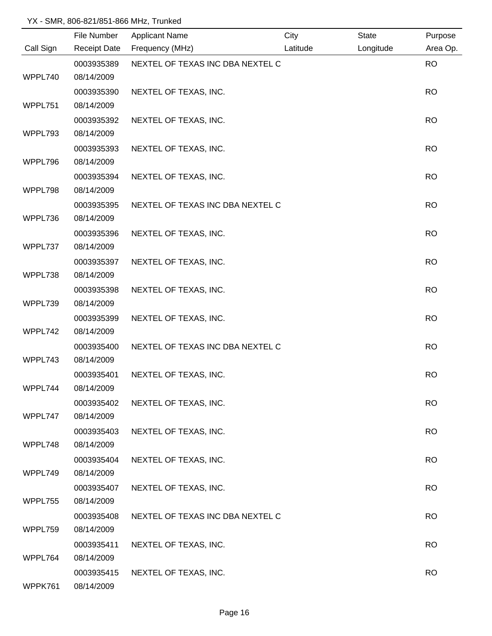|           | File Number         | <b>Applicant Name</b>            | City     | <b>State</b> | Purpose   |
|-----------|---------------------|----------------------------------|----------|--------------|-----------|
| Call Sign | <b>Receipt Date</b> | Frequency (MHz)                  | Latitude | Longitude    | Area Op.  |
|           | 0003935389          | NEXTEL OF TEXAS INC DBA NEXTEL C |          |              | <b>RO</b> |
| WPPL740   | 08/14/2009          |                                  |          |              |           |
|           | 0003935390          | NEXTEL OF TEXAS, INC.            |          |              | <b>RO</b> |
| WPPL751   | 08/14/2009          |                                  |          |              |           |
|           | 0003935392          | NEXTEL OF TEXAS, INC.            |          |              | <b>RO</b> |
| WPPL793   | 08/14/2009          |                                  |          |              |           |
|           | 0003935393          | NEXTEL OF TEXAS, INC.            |          |              | <b>RO</b> |
| WPPL796   | 08/14/2009          |                                  |          |              |           |
|           | 0003935394          | NEXTEL OF TEXAS, INC.            |          |              | <b>RO</b> |
| WPPL798   | 08/14/2009          |                                  |          |              |           |
|           | 0003935395          | NEXTEL OF TEXAS INC DBA NEXTEL C |          |              | <b>RO</b> |
| WPPL736   | 08/14/2009          |                                  |          |              |           |
|           | 0003935396          | NEXTEL OF TEXAS, INC.            |          |              | <b>RO</b> |
| WPPL737   | 08/14/2009          |                                  |          |              |           |
|           | 0003935397          | NEXTEL OF TEXAS, INC.            |          |              | <b>RO</b> |
| WPPL738   | 08/14/2009          |                                  |          |              |           |
|           | 0003935398          | NEXTEL OF TEXAS, INC.            |          |              | <b>RO</b> |
| WPPL739   | 08/14/2009          |                                  |          |              |           |
|           | 0003935399          | NEXTEL OF TEXAS, INC.            |          |              | <b>RO</b> |
| WPPL742   | 08/14/2009          |                                  |          |              |           |
|           | 0003935400          | NEXTEL OF TEXAS INC DBA NEXTEL C |          |              | <b>RO</b> |
| WPPL743   | 08/14/2009          |                                  |          |              |           |
|           | 0003935401          | NEXTEL OF TEXAS, INC.            |          |              | <b>RO</b> |
| WPPL744   | 08/14/2009          |                                  |          |              |           |
|           | 0003935402          | NEXTEL OF TEXAS, INC.            |          |              | <b>RO</b> |
| WPPL747   | 08/14/2009          |                                  |          |              |           |
|           | 0003935403          | NEXTEL OF TEXAS, INC.            |          |              | <b>RO</b> |
| WPPL748   | 08/14/2009          |                                  |          |              |           |
|           | 0003935404          | NEXTEL OF TEXAS, INC.            |          |              | <b>RO</b> |
| WPPL749   | 08/14/2009          |                                  |          |              |           |
|           | 0003935407          | NEXTEL OF TEXAS, INC.            |          |              | <b>RO</b> |
| WPPL755   | 08/14/2009          |                                  |          |              |           |
|           | 0003935408          | NEXTEL OF TEXAS INC DBA NEXTEL C |          |              | <b>RO</b> |
| WPPL759   | 08/14/2009          |                                  |          |              |           |
|           | 0003935411          | NEXTEL OF TEXAS, INC.            |          |              | <b>RO</b> |
| WPPL764   | 08/14/2009          |                                  |          |              |           |
|           | 0003935415          | NEXTEL OF TEXAS, INC.            |          |              | <b>RO</b> |
| WPPK761   | 08/14/2009          |                                  |          |              |           |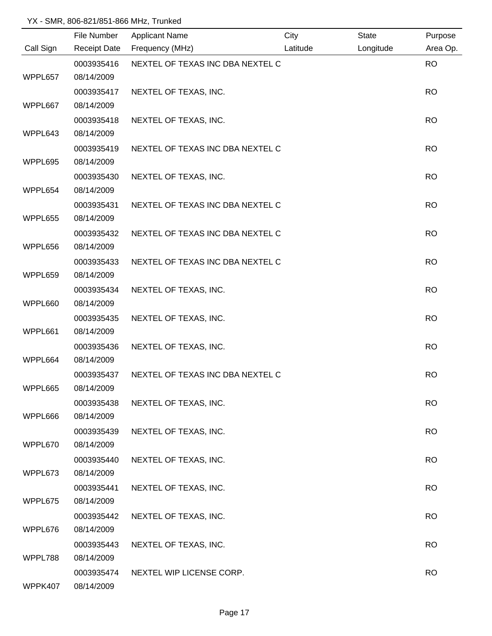|           | File Number         | <b>Applicant Name</b>            | City     | <b>State</b> | Purpose   |
|-----------|---------------------|----------------------------------|----------|--------------|-----------|
| Call Sign | <b>Receipt Date</b> | Frequency (MHz)                  | Latitude | Longitude    | Area Op.  |
|           | 0003935416          | NEXTEL OF TEXAS INC DBA NEXTEL C |          |              | <b>RO</b> |
| WPPL657   | 08/14/2009          |                                  |          |              |           |
|           | 0003935417          | NEXTEL OF TEXAS, INC.            |          |              | <b>RO</b> |
| WPPL667   | 08/14/2009          |                                  |          |              |           |
|           | 0003935418          | NEXTEL OF TEXAS, INC.            |          |              | <b>RO</b> |
| WPPL643   | 08/14/2009          |                                  |          |              |           |
|           | 0003935419          | NEXTEL OF TEXAS INC DBA NEXTEL C |          |              | <b>RO</b> |
| WPPL695   | 08/14/2009          |                                  |          |              |           |
|           | 0003935430          | NEXTEL OF TEXAS, INC.            |          |              | <b>RO</b> |
| WPPL654   | 08/14/2009          |                                  |          |              |           |
|           | 0003935431          | NEXTEL OF TEXAS INC DBA NEXTEL C |          |              | <b>RO</b> |
| WPPL655   | 08/14/2009          |                                  |          |              |           |
|           | 0003935432          | NEXTEL OF TEXAS INC DBA NEXTEL C |          |              | <b>RO</b> |
| WPPL656   | 08/14/2009          |                                  |          |              |           |
|           | 0003935433          | NEXTEL OF TEXAS INC DBA NEXTEL C |          |              | <b>RO</b> |
| WPPL659   | 08/14/2009          |                                  |          |              |           |
|           | 0003935434          | NEXTEL OF TEXAS, INC.            |          |              | <b>RO</b> |
| WPPL660   | 08/14/2009          |                                  |          |              |           |
|           | 0003935435          | NEXTEL OF TEXAS, INC.            |          |              | <b>RO</b> |
| WPPL661   | 08/14/2009          |                                  |          |              |           |
|           | 0003935436          | NEXTEL OF TEXAS, INC.            |          |              | <b>RO</b> |
| WPPL664   | 08/14/2009          |                                  |          |              |           |
|           | 0003935437          | NEXTEL OF TEXAS INC DBA NEXTEL C |          |              | <b>RO</b> |
| WPPL665   | 08/14/2009          |                                  |          |              |           |
|           | 0003935438          | NEXTEL OF TEXAS, INC.            |          |              | <b>RO</b> |
| WPPL666   | 08/14/2009          |                                  |          |              |           |
|           | 0003935439          | NEXTEL OF TEXAS, INC.            |          |              | <b>RO</b> |
| WPPL670   | 08/14/2009          |                                  |          |              |           |
|           | 0003935440          | NEXTEL OF TEXAS, INC.            |          |              | <b>RO</b> |
| WPPL673   | 08/14/2009          |                                  |          |              |           |
|           | 0003935441          | NEXTEL OF TEXAS, INC.            |          |              | <b>RO</b> |
| WPPL675   | 08/14/2009          |                                  |          |              |           |
|           | 0003935442          | NEXTEL OF TEXAS, INC.            |          |              | <b>RO</b> |
| WPPL676   | 08/14/2009          |                                  |          |              |           |
|           | 0003935443          | NEXTEL OF TEXAS, INC.            |          |              | <b>RO</b> |
| WPPL788   | 08/14/2009          |                                  |          |              |           |
|           | 0003935474          | NEXTEL WIP LICENSE CORP.         |          |              | <b>RO</b> |
| WPPK407   | 08/14/2009          |                                  |          |              |           |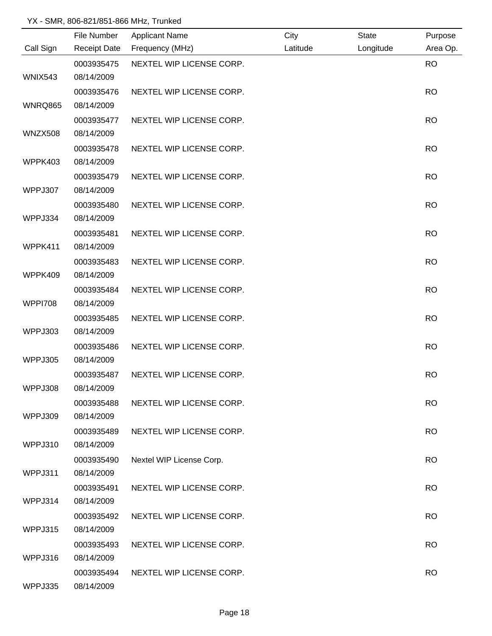|                | File Number         | <b>Applicant Name</b>    | City     | <b>State</b> | Purpose   |
|----------------|---------------------|--------------------------|----------|--------------|-----------|
| Call Sign      | <b>Receipt Date</b> | Frequency (MHz)          | Latitude | Longitude    | Area Op.  |
|                | 0003935475          | NEXTEL WIP LICENSE CORP. |          |              | <b>RO</b> |
| WNIX543        | 08/14/2009          |                          |          |              |           |
|                | 0003935476          | NEXTEL WIP LICENSE CORP. |          |              | <b>RO</b> |
| WNRQ865        | 08/14/2009          |                          |          |              |           |
|                | 0003935477          | NEXTEL WIP LICENSE CORP. |          |              | <b>RO</b> |
| WNZX508        | 08/14/2009          |                          |          |              |           |
|                | 0003935478          | NEXTEL WIP LICENSE CORP. |          |              | <b>RO</b> |
| WPPK403        | 08/14/2009          |                          |          |              |           |
|                | 0003935479          | NEXTEL WIP LICENSE CORP. |          |              | <b>RO</b> |
| WPPJ307        | 08/14/2009          |                          |          |              |           |
|                | 0003935480          | NEXTEL WIP LICENSE CORP. |          |              | <b>RO</b> |
| WPPJ334        | 08/14/2009          |                          |          |              |           |
|                | 0003935481          | NEXTEL WIP LICENSE CORP. |          |              | <b>RO</b> |
| WPPK411        | 08/14/2009          |                          |          |              |           |
|                | 0003935483          | NEXTEL WIP LICENSE CORP. |          |              | <b>RO</b> |
| WPPK409        | 08/14/2009          |                          |          |              |           |
|                | 0003935484          | NEXTEL WIP LICENSE CORP. |          |              | <b>RO</b> |
| <b>WPPI708</b> | 08/14/2009          |                          |          |              |           |
|                | 0003935485          | NEXTEL WIP LICENSE CORP. |          |              | <b>RO</b> |
| WPPJ303        | 08/14/2009          |                          |          |              |           |
|                | 0003935486          | NEXTEL WIP LICENSE CORP. |          |              | <b>RO</b> |
| WPPJ305        | 08/14/2009          |                          |          |              |           |
|                | 0003935487          | NEXTEL WIP LICENSE CORP. |          |              | <b>RO</b> |
| WPPJ308        | 08/14/2009          |                          |          |              |           |
|                | 0003935488          | NEXTEL WIP LICENSE CORP. |          |              | <b>RO</b> |
| WPPJ309        | 08/14/2009          |                          |          |              |           |
|                | 0003935489          | NEXTEL WIP LICENSE CORP. |          |              | <b>RO</b> |
| WPPJ310        | 08/14/2009          |                          |          |              |           |
|                | 0003935490          | Nextel WIP License Corp. |          |              | <b>RO</b> |
| WPPJ311        | 08/14/2009          |                          |          |              |           |
|                | 0003935491          | NEXTEL WIP LICENSE CORP. |          |              | <b>RO</b> |
| WPPJ314        | 08/14/2009          |                          |          |              |           |
|                | 0003935492          | NEXTEL WIP LICENSE CORP. |          |              | <b>RO</b> |
| WPPJ315        | 08/14/2009          |                          |          |              |           |
|                | 0003935493          | NEXTEL WIP LICENSE CORP. |          |              | <b>RO</b> |
| WPPJ316        | 08/14/2009          |                          |          |              |           |
|                | 0003935494          | NEXTEL WIP LICENSE CORP. |          |              | <b>RO</b> |
| WPPJ335        | 08/14/2009          |                          |          |              |           |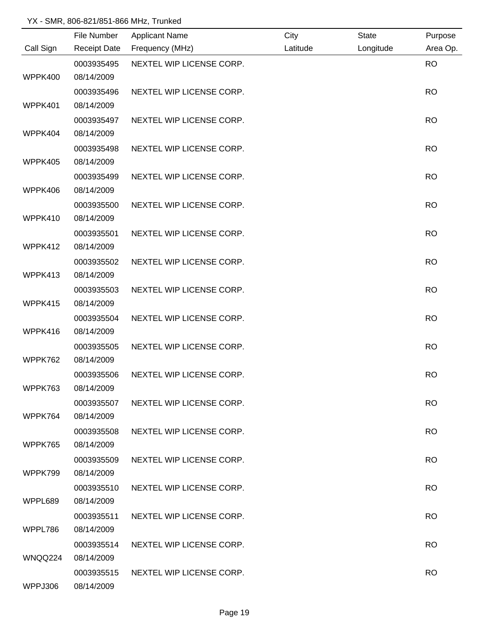|           | File Number         | <b>Applicant Name</b>    | City     | <b>State</b> | Purpose   |
|-----------|---------------------|--------------------------|----------|--------------|-----------|
| Call Sign | <b>Receipt Date</b> | Frequency (MHz)          | Latitude | Longitude    | Area Op.  |
|           | 0003935495          | NEXTEL WIP LICENSE CORP. |          |              | <b>RO</b> |
| WPPK400   | 08/14/2009          |                          |          |              |           |
|           | 0003935496          | NEXTEL WIP LICENSE CORP. |          |              | <b>RO</b> |
| WPPK401   | 08/14/2009          |                          |          |              |           |
|           | 0003935497          | NEXTEL WIP LICENSE CORP. |          |              | <b>RO</b> |
| WPPK404   | 08/14/2009          |                          |          |              |           |
|           | 0003935498          | NEXTEL WIP LICENSE CORP. |          |              | <b>RO</b> |
| WPPK405   | 08/14/2009          |                          |          |              |           |
|           | 0003935499          | NEXTEL WIP LICENSE CORP. |          |              | <b>RO</b> |
| WPPK406   | 08/14/2009          |                          |          |              |           |
|           | 0003935500          | NEXTEL WIP LICENSE CORP. |          |              | <b>RO</b> |
| WPPK410   | 08/14/2009          |                          |          |              |           |
|           | 0003935501          | NEXTEL WIP LICENSE CORP. |          |              | <b>RO</b> |
| WPPK412   | 08/14/2009          |                          |          |              |           |
|           | 0003935502          | NEXTEL WIP LICENSE CORP. |          |              | <b>RO</b> |
| WPPK413   | 08/14/2009          |                          |          |              |           |
|           | 0003935503          | NEXTEL WIP LICENSE CORP. |          |              | <b>RO</b> |
| WPPK415   | 08/14/2009          |                          |          |              |           |
|           | 0003935504          | NEXTEL WIP LICENSE CORP. |          |              | <b>RO</b> |
| WPPK416   | 08/14/2009          |                          |          |              |           |
|           | 0003935505          | NEXTEL WIP LICENSE CORP. |          |              | <b>RO</b> |
| WPPK762   | 08/14/2009          |                          |          |              |           |
|           | 0003935506          | NEXTEL WIP LICENSE CORP. |          |              | <b>RO</b> |
| WPPK763   | 08/14/2009          |                          |          |              |           |
|           | 0003935507          | NEXTEL WIP LICENSE CORP. |          |              | <b>RO</b> |
| WPPK764   | 08/14/2009          |                          |          |              |           |
|           | 0003935508          | NEXTEL WIP LICENSE CORP. |          |              | <b>RO</b> |
| WPPK765   | 08/14/2009          |                          |          |              |           |
|           | 0003935509          | NEXTEL WIP LICENSE CORP. |          |              | <b>RO</b> |
| WPPK799   | 08/14/2009          |                          |          |              |           |
|           | 0003935510          | NEXTEL WIP LICENSE CORP. |          |              | <b>RO</b> |
| WPPL689   | 08/14/2009          |                          |          |              |           |
|           | 0003935511          | NEXTEL WIP LICENSE CORP. |          |              | <b>RO</b> |
| WPPL786   | 08/14/2009          |                          |          |              |           |
|           | 0003935514          | NEXTEL WIP LICENSE CORP. |          |              | <b>RO</b> |
| WNQQ224   | 08/14/2009          |                          |          |              |           |
|           | 0003935515          | NEXTEL WIP LICENSE CORP. |          |              | <b>RO</b> |
| WPPJ306   | 08/14/2009          |                          |          |              |           |